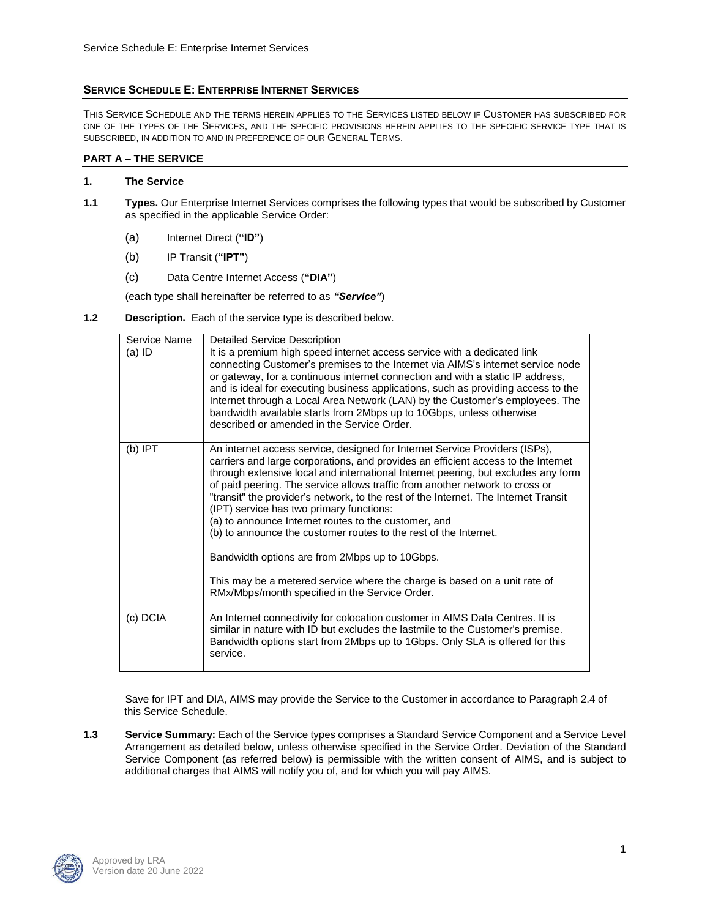# **SERVICE SCHEDULE E: ENTERPRISE INTERNET SERVICES**

THIS SERVICE SCHEDULE AND THE TERMS HEREIN APPLIES TO THE SERVICES LISTED BELOW IF CUSTOMER HAS SUBSCRIBED FOR ONE OF THE TYPES OF THE SERVICES, AND THE SPECIFIC PROVISIONS HEREIN APPLIES TO THE SPECIFIC SERVICE TYPE THAT IS SUBSCRIBED, IN ADDITION TO AND IN PREFERENCE OF OUR GENERAL TERMS.

## **PART A – THE SERVICE**

### **1. The Service**

- **1.1 Types.** Our Enterprise Internet Services comprises the following types that would be subscribed by Customer as specified in the applicable Service Order:
	- (a) Internet Direct (**"ID"**)
	- (b) IP Transit (**"IPT"**)
	- (c) Data Centre Internet Access (**"DIA"**)

(each type shall hereinafter be referred to as *"Service"*)

**1.2 Description.** Each of the service type is described below.

| Service Name | <b>Detailed Service Description</b>                                                                                                                                                                                                                                                                                                                                                                                                                                                                                                                                                                                                                                                                                                                                                   |
|--------------|---------------------------------------------------------------------------------------------------------------------------------------------------------------------------------------------------------------------------------------------------------------------------------------------------------------------------------------------------------------------------------------------------------------------------------------------------------------------------------------------------------------------------------------------------------------------------------------------------------------------------------------------------------------------------------------------------------------------------------------------------------------------------------------|
| (a) ID       | It is a premium high speed internet access service with a dedicated link<br>connecting Customer's premises to the Internet via AIMS's internet service node<br>or gateway, for a continuous internet connection and with a static IP address,<br>and is ideal for executing business applications, such as providing access to the<br>Internet through a Local Area Network (LAN) by the Customer's employees. The<br>bandwidth available starts from 2Mbps up to 10Gbps, unless otherwise<br>described or amended in the Service Order.                                                                                                                                                                                                                                              |
| $(b)$ IPT    | An internet access service, designed for Internet Service Providers (ISPs),<br>carriers and large corporations, and provides an efficient access to the Internet<br>through extensive local and international Internet peering, but excludes any form<br>of paid peering. The service allows traffic from another network to cross or<br>"transit" the provider's network, to the rest of the Internet. The Internet Transit<br>(IPT) service has two primary functions:<br>(a) to announce Internet routes to the customer, and<br>(b) to announce the customer routes to the rest of the Internet.<br>Bandwidth options are from 2Mbps up to 10Gbps.<br>This may be a metered service where the charge is based on a unit rate of<br>RMx/Mbps/month specified in the Service Order. |
| (c) DCIA     | An Internet connectivity for colocation customer in AIMS Data Centres. It is<br>similar in nature with ID but excludes the lastmile to the Customer's premise.<br>Bandwidth options start from 2Mbps up to 1Gbps. Only SLA is offered for this<br>service.                                                                                                                                                                                                                                                                                                                                                                                                                                                                                                                            |

Save for IPT and DIA, AIMS may provide the Service to the Customer in accordance to Paragraph 2.4 of this Service Schedule.

**1.3 Service Summary:** Each of the Service types comprises a Standard Service Component and a Service Level Arrangement as detailed below, unless otherwise specified in the Service Order. Deviation of the Standard Service Component (as referred below) is permissible with the written consent of AIMS, and is subject to additional charges that AIMS will notify you of, and for which you will pay AIMS.

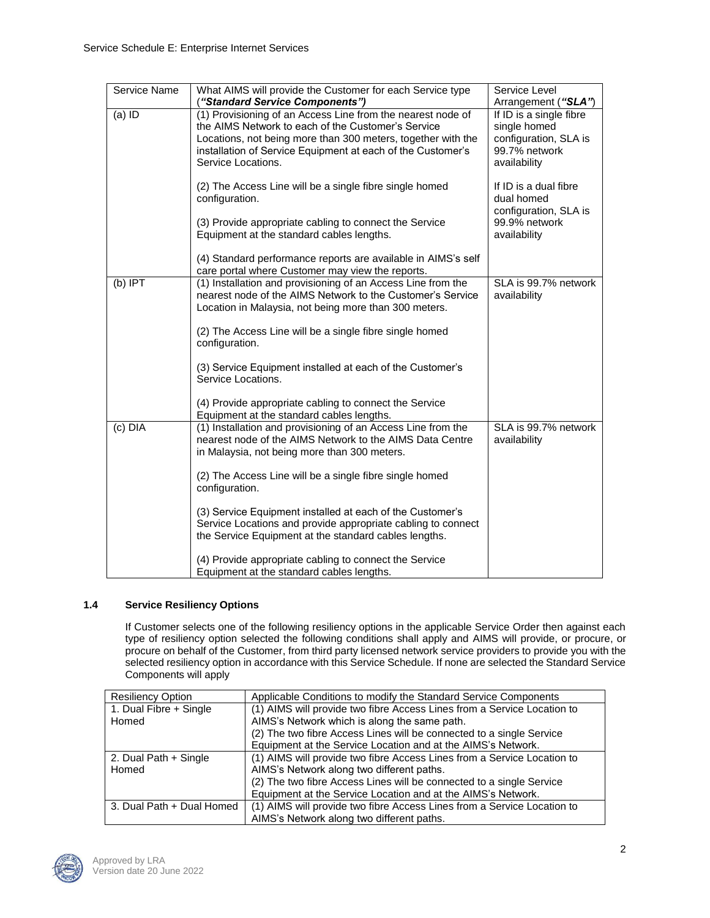| Service Name | What AIMS will provide the Customer for each Service type<br>("Standard Service Components")                                                                                                                                                                           | Service Level<br>Arrangement ("SLA")                                                              |
|--------------|------------------------------------------------------------------------------------------------------------------------------------------------------------------------------------------------------------------------------------------------------------------------|---------------------------------------------------------------------------------------------------|
| $(a)$ ID     | (1) Provisioning of an Access Line from the nearest node of<br>the AIMS Network to each of the Customer's Service<br>Locations, not being more than 300 meters, together with the<br>installation of Service Equipment at each of the Customer's<br>Service Locations. | If ID is a single fibre<br>single homed<br>configuration, SLA is<br>99.7% network<br>availability |
|              | (2) The Access Line will be a single fibre single homed<br>configuration.                                                                                                                                                                                              | If ID is a dual fibre<br>dual homed<br>configuration, SLA is                                      |
|              | (3) Provide appropriate cabling to connect the Service<br>Equipment at the standard cables lengths.                                                                                                                                                                    | 99.9% network<br>availability                                                                     |
|              | (4) Standard performance reports are available in AIMS's self<br>care portal where Customer may view the reports.                                                                                                                                                      |                                                                                                   |
| $(b)$ IPT    | (1) Installation and provisioning of an Access Line from the<br>nearest node of the AIMS Network to the Customer's Service<br>Location in Malaysia, not being more than 300 meters.<br>(2) The Access Line will be a single fibre single homed                         | SLA is 99.7% network<br>availability                                                              |
|              | configuration.                                                                                                                                                                                                                                                         |                                                                                                   |
|              | (3) Service Equipment installed at each of the Customer's<br>Service Locations.                                                                                                                                                                                        |                                                                                                   |
|              | (4) Provide appropriate cabling to connect the Service<br>Equipment at the standard cables lengths.                                                                                                                                                                    |                                                                                                   |
| (c) DIA      | (1) Installation and provisioning of an Access Line from the<br>nearest node of the AIMS Network to the AIMS Data Centre<br>in Malaysia, not being more than 300 meters.                                                                                               | SLA is 99.7% network<br>availability                                                              |
|              | (2) The Access Line will be a single fibre single homed<br>configuration.                                                                                                                                                                                              |                                                                                                   |
|              | (3) Service Equipment installed at each of the Customer's<br>Service Locations and provide appropriate cabling to connect<br>the Service Equipment at the standard cables lengths.                                                                                     |                                                                                                   |
|              | (4) Provide appropriate cabling to connect the Service<br>Equipment at the standard cables lengths.                                                                                                                                                                    |                                                                                                   |

# **1.4 Service Resiliency Options**

If Customer selects one of the following resiliency options in the applicable Service Order then against each type of resiliency option selected the following conditions shall apply and AIMS will provide, or procure, or procure on behalf of the Customer, from third party licensed network service providers to provide you with the selected resiliency option in accordance with this Service Schedule. If none are selected the Standard Service Components will apply

| <b>Resiliency Option</b>  | Applicable Conditions to modify the Standard Service Components         |
|---------------------------|-------------------------------------------------------------------------|
| 1. Dual Fibre + Single    | (1) AIMS will provide two fibre Access Lines from a Service Location to |
| Homed                     | AIMS's Network which is along the same path.                            |
|                           | (2) The two fibre Access Lines will be connected to a single Service    |
|                           | Equipment at the Service Location and at the AIMS's Network.            |
| 2. Dual Path + Single     | (1) AIMS will provide two fibre Access Lines from a Service Location to |
| Homed                     | AIMS's Network along two different paths.                               |
|                           | (2) The two fibre Access Lines will be connected to a single Service    |
|                           | Equipment at the Service Location and at the AIMS's Network.            |
| 3. Dual Path + Dual Homed | (1) AIMS will provide two fibre Access Lines from a Service Location to |
|                           | AIMS's Network along two different paths.                               |

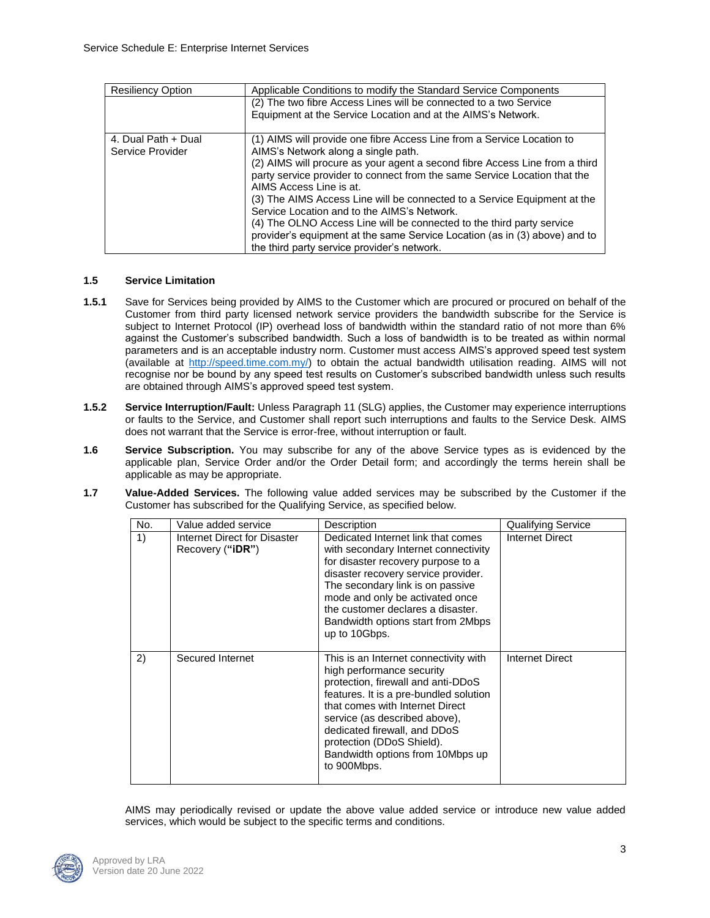| <b>Resiliency Option</b> | Applicable Conditions to modify the Standard Service Components             |
|--------------------------|-----------------------------------------------------------------------------|
|                          | (2) The two fibre Access Lines will be connected to a two Service           |
|                          | Equipment at the Service Location and at the AIMS's Network.                |
|                          |                                                                             |
| 4. Dual Path + Dual      | (1) AIMS will provide one fibre Access Line from a Service Location to      |
| Service Provider         | AIMS's Network along a single path.                                         |
|                          | (2) AIMS will procure as your agent a second fibre Access Line from a third |
|                          | party service provider to connect from the same Service Location that the   |
|                          | AIMS Access Line is at.                                                     |
|                          | (3) The AIMS Access Line will be connected to a Service Equipment at the    |
|                          | Service Location and to the AIMS's Network.                                 |
|                          | (4) The OLNO Access Line will be connected to the third party service       |
|                          | provider's equipment at the same Service Location (as in (3) above) and to  |
|                          | the third party service provider's network.                                 |

## **1.5 Service Limitation**

- **1.5.1** Save for Services being provided by AIMS to the Customer which are procured or procured on behalf of the Customer from third party licensed network service providers the bandwidth subscribe for the Service is subject to Internet Protocol (IP) overhead loss of bandwidth within the standard ratio of not more than 6% against the Customer's subscribed bandwidth. Such a loss of bandwidth is to be treated as within normal parameters and is an acceptable industry norm. Customer must access AIMS's approved speed test system (available at [http://speed.time.com.my/\)](http://speed.time.com.my/) to obtain the actual bandwidth utilisation reading. AIMS will not recognise nor be bound by any speed test results on Customer's subscribed bandwidth unless such results are obtained through AIMS's approved speed test system.
- **1.5.2 Service Interruption/Fault:** Unless Paragraph 11 (SLG) applies, the Customer may experience interruptions or faults to the Service, and Customer shall report such interruptions and faults to the Service Desk. AIMS does not warrant that the Service is error-free, without interruption or fault.
- **1.6 Service Subscription.** You may subscribe for any of the above Service types as is evidenced by the applicable plan, Service Order and/or the Order Detail form; and accordingly the terms herein shall be applicable as may be appropriate.
- **1.7 Value-Added Services.** The following value added services may be subscribed by the Customer if the Customer has subscribed for the Qualifying Service, as specified below.

| No. | Value added service                                       | Description                                                                                                                                                                                                                                                                                                                            | <b>Qualifying Service</b> |
|-----|-----------------------------------------------------------|----------------------------------------------------------------------------------------------------------------------------------------------------------------------------------------------------------------------------------------------------------------------------------------------------------------------------------------|---------------------------|
| 1)  | Internet Direct for Disaster<br>Recovery (" <b>iDR</b> ") | Dedicated Internet link that comes<br>with secondary Internet connectivity<br>for disaster recovery purpose to a<br>disaster recovery service provider.<br>The secondary link is on passive<br>mode and only be activated once<br>the customer declares a disaster.<br>Bandwidth options start from 2Mbps<br>up to 10Gbps.             | Internet Direct           |
| 2)  | Secured Internet                                          | This is an Internet connectivity with<br>high performance security<br>protection, firewall and anti-DDoS<br>features. It is a pre-bundled solution<br>that comes with Internet Direct<br>service (as described above).<br>dedicated firewall, and DDoS<br>protection (DDoS Shield).<br>Bandwidth options from 10Mbps up<br>to 900Mbps. | Internet Direct           |

AIMS may periodically revised or update the above value added service or introduce new value added services, which would be subject to the specific terms and conditions.

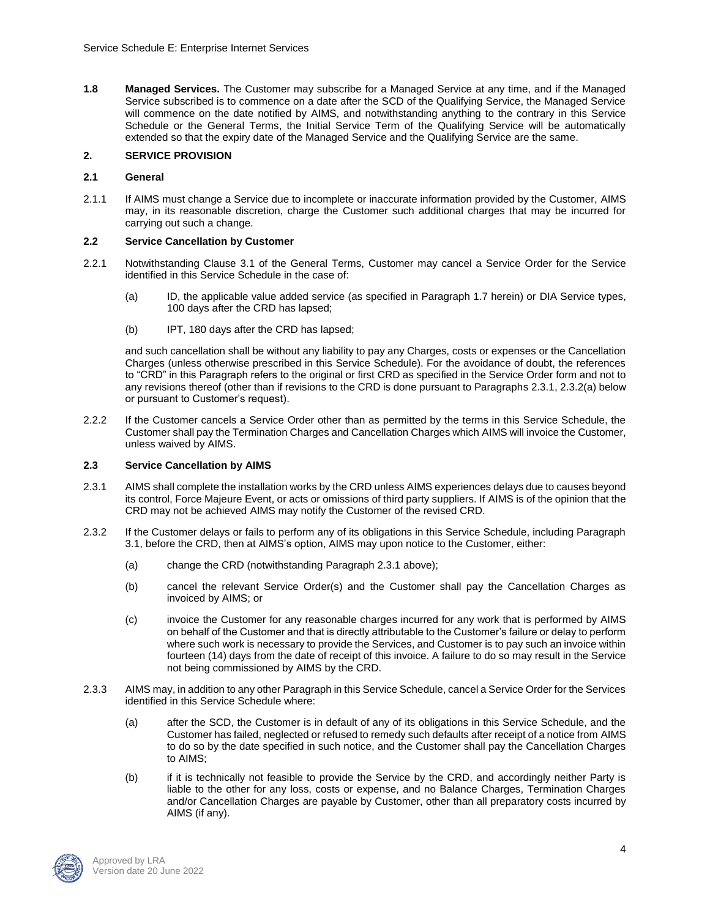**1.8 Managed Services.** The Customer may subscribe for a Managed Service at any time, and if the Managed Service subscribed is to commence on a date after the SCD of the Qualifying Service, the Managed Service will commence on the date notified by AIMS, and notwithstanding anything to the contrary in this Service Schedule or the General Terms, the Initial Service Term of the Qualifying Service will be automatically extended so that the expiry date of the Managed Service and the Qualifying Service are the same.

## **2. SERVICE PROVISION**

### **2.1 General**

2.1.1 If AIMS must change a Service due to incomplete or inaccurate information provided by the Customer, AIMS may, in its reasonable discretion, charge the Customer such additional charges that may be incurred for carrying out such a change.

## **2.2 Service Cancellation by Customer**

- 2.2.1 Notwithstanding Clause 3.1 of the General Terms, Customer may cancel a Service Order for the Service identified in this Service Schedule in the case of:
	- (a) ID, the applicable value added service (as specified in Paragraph 1.7 herein) or DIA Service types, 100 days after the CRD has lapsed;
	- (b) IPT, 180 days after the CRD has lapsed;

and such cancellation shall be without any liability to pay any Charges, costs or expenses or the Cancellation Charges (unless otherwise prescribed in this Service Schedule). For the avoidance of doubt, the references to "CRD" in this Paragraph refers to the original or first CRD as specified in the Service Order form and not to any revisions thereof (other than if revisions to the CRD is done pursuant to Paragraphs 2.3.1, 2.3.2(a) below or pursuant to Customer's request).

2.2.2 If the Customer cancels a Service Order other than as permitted by the terms in this Service Schedule, the Customer shall pay the Termination Charges and Cancellation Charges which AIMS will invoice the Customer, unless waived by AIMS.

### **2.3 Service Cancellation by AIMS**

- 2.3.1 AIMS shall complete the installation works by the CRD unless AIMS experiences delays due to causes beyond its control, Force Majeure Event, or acts or omissions of third party suppliers. If AIMS is of the opinion that the CRD may not be achieved AIMS may notify the Customer of the revised CRD.
- 2.3.2 If the Customer delays or fails to perform any of its obligations in this Service Schedule, including Paragraph 3.1, before the CRD, then at AIMS's option, AIMS may upon notice to the Customer, either:
	- (a) change the CRD (notwithstanding Paragraph 2.3.1 above);
	- (b) cancel the relevant Service Order(s) and the Customer shall pay the Cancellation Charges as invoiced by AIMS; or
	- (c) invoice the Customer for any reasonable charges incurred for any work that is performed by AIMS on behalf of the Customer and that is directly attributable to the Customer's failure or delay to perform where such work is necessary to provide the Services, and Customer is to pay such an invoice within fourteen (14) days from the date of receipt of this invoice. A failure to do so may result in the Service not being commissioned by AIMS by the CRD.
- 2.3.3 AIMS may, in addition to any other Paragraph in this Service Schedule, cancel a Service Order for the Services identified in this Service Schedule where:
	- (a) after the SCD, the Customer is in default of any of its obligations in this Service Schedule, and the Customer has failed, neglected or refused to remedy such defaults after receipt of a notice from AIMS to do so by the date specified in such notice, and the Customer shall pay the Cancellation Charges to AIMS;
	- (b) if it is technically not feasible to provide the Service by the CRD, and accordingly neither Party is liable to the other for any loss, costs or expense, and no Balance Charges, Termination Charges and/or Cancellation Charges are payable by Customer, other than all preparatory costs incurred by AIMS (if any).

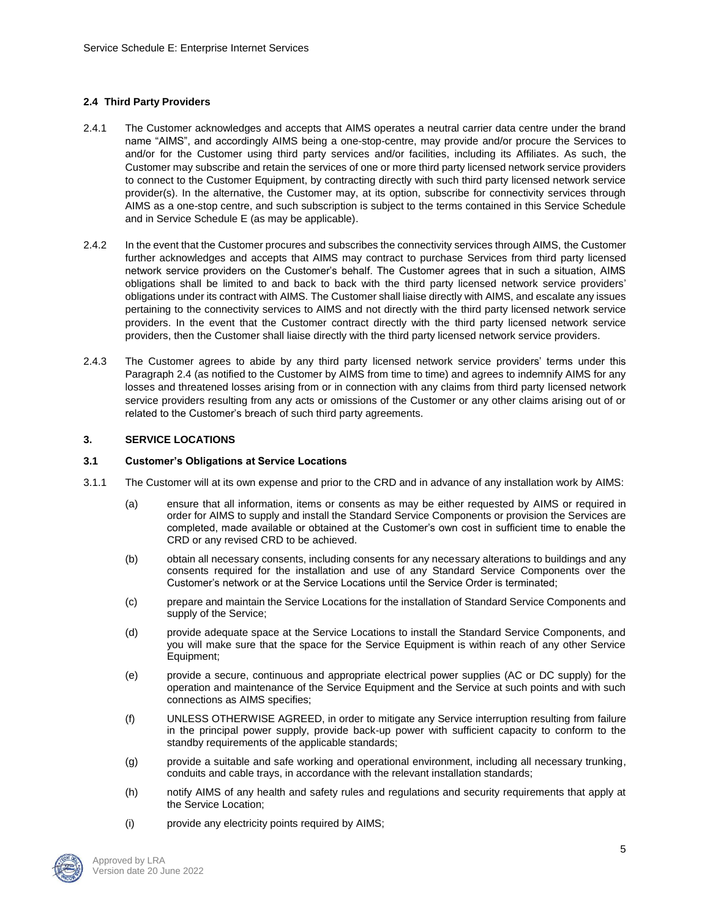## **2.4 Third Party Providers**

- 2.4.1 The Customer acknowledges and accepts that AIMS operates a neutral carrier data centre under the brand name "AIMS", and accordingly AIMS being a one-stop-centre, may provide and/or procure the Services to and/or for the Customer using third party services and/or facilities, including its Affiliates. As such, the Customer may subscribe and retain the services of one or more third party licensed network service providers to connect to the Customer Equipment, by contracting directly with such third party licensed network service provider(s). In the alternative, the Customer may, at its option, subscribe for connectivity services through AIMS as a one-stop centre, and such subscription is subject to the terms contained in this Service Schedule and in Service Schedule E (as may be applicable).
- 2.4.2 In the event that the Customer procures and subscribes the connectivity services through AIMS, the Customer further acknowledges and accepts that AIMS may contract to purchase Services from third party licensed network service providers on the Customer's behalf. The Customer agrees that in such a situation, AIMS obligations shall be limited to and back to back with the third party licensed network service providers' obligations under its contract with AIMS. The Customer shall liaise directly with AIMS, and escalate any issues pertaining to the connectivity services to AIMS and not directly with the third party licensed network service providers. In the event that the Customer contract directly with the third party licensed network service providers, then the Customer shall liaise directly with the third party licensed network service providers.
- 2.4.3 The Customer agrees to abide by any third party licensed network service providers' terms under this Paragraph 2.4 (as notified to the Customer by AIMS from time to time) and agrees to indemnify AIMS for any losses and threatened losses arising from or in connection with any claims from third party licensed network service providers resulting from any acts or omissions of the Customer or any other claims arising out of or related to the Customer's breach of such third party agreements.

### **3. SERVICE LOCATIONS**

#### **3.1 Customer's Obligations at Service Locations**

- 3.1.1 The Customer will at its own expense and prior to the CRD and in advance of any installation work by AIMS:
	- (a) ensure that all information, items or consents as may be either requested by AIMS or required in order for AIMS to supply and install the Standard Service Components or provision the Services are completed, made available or obtained at the Customer's own cost in sufficient time to enable the CRD or any revised CRD to be achieved.
	- (b) obtain all necessary consents, including consents for any necessary alterations to buildings and any consents required for the installation and use of any Standard Service Components over the Customer's network or at the Service Locations until the Service Order is terminated;
	- (c) prepare and maintain the Service Locations for the installation of Standard Service Components and supply of the Service;
	- (d) provide adequate space at the Service Locations to install the Standard Service Components, and you will make sure that the space for the Service Equipment is within reach of any other Service Equipment;
	- (e) provide a secure, continuous and appropriate electrical power supplies (AC or DC supply) for the operation and maintenance of the Service Equipment and the Service at such points and with such connections as AIMS specifies;
	- (f) UNLESS OTHERWISE AGREED, in order to mitigate any Service interruption resulting from failure in the principal power supply, provide back-up power with sufficient capacity to conform to the standby requirements of the applicable standards;
	- (g) provide a suitable and safe working and operational environment, including all necessary trunking, conduits and cable trays, in accordance with the relevant installation standards;
	- (h) notify AIMS of any health and safety rules and regulations and security requirements that apply at the Service Location;
	- (i) provide any electricity points required by AIMS;

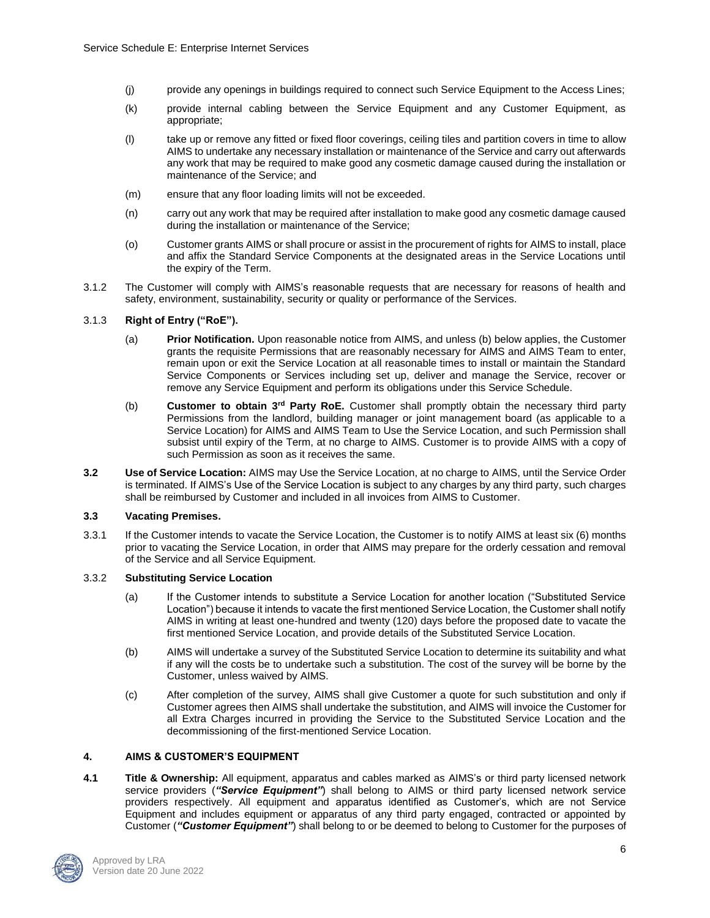- (j) provide any openings in buildings required to connect such Service Equipment to the Access Lines;
- (k) provide internal cabling between the Service Equipment and any Customer Equipment, as appropriate;
- (l) take up or remove any fitted or fixed floor coverings, ceiling tiles and partition covers in time to allow AIMS to undertake any necessary installation or maintenance of the Service and carry out afterwards any work that may be required to make good any cosmetic damage caused during the installation or maintenance of the Service; and
- (m) ensure that any floor loading limits will not be exceeded.
- (n) carry out any work that may be required after installation to make good any cosmetic damage caused during the installation or maintenance of the Service;
- (o) Customer grants AIMS or shall procure or assist in the procurement of rights for AIMS to install, place and affix the Standard Service Components at the designated areas in the Service Locations until the expiry of the Term.
- 3.1.2 The Customer will comply with AIMS's reasonable requests that are necessary for reasons of health and safety, environment, sustainability, security or quality or performance of the Services.

### 3.1.3 **Right of Entry ("RoE").**

- (a) **Prior Notification.** Upon reasonable notice from AIMS, and unless (b) below applies, the Customer grants the requisite Permissions that are reasonably necessary for AIMS and AIMS Team to enter, remain upon or exit the Service Location at all reasonable times to install or maintain the Standard Service Components or Services including set up, deliver and manage the Service, recover or remove any Service Equipment and perform its obligations under this Service Schedule.
- (b) **Customer to obtain 3rd Party RoE.** Customer shall promptly obtain the necessary third party Permissions from the landlord, building manager or joint management board (as applicable to a Service Location) for AIMS and AIMS Team to Use the Service Location, and such Permission shall subsist until expiry of the Term, at no charge to AIMS. Customer is to provide AIMS with a copy of such Permission as soon as it receives the same.
- **3.2 Use of Service Location:** AIMS may Use the Service Location, at no charge to AIMS, until the Service Order is terminated. If AIMS's Use of the Service Location is subject to any charges by any third party, such charges shall be reimbursed by Customer and included in all invoices from AIMS to Customer.

### **3.3 Vacating Premises.**

3.3.1 If the Customer intends to vacate the Service Location, the Customer is to notify AIMS at least six (6) months prior to vacating the Service Location, in order that AIMS may prepare for the orderly cessation and removal of the Service and all Service Equipment.

### 3.3.2 **Substituting Service Location**

- (a) If the Customer intends to substitute a Service Location for another location ("Substituted Service Location") because it intends to vacate the first mentioned Service Location, the Customer shall notify AIMS in writing at least one-hundred and twenty (120) days before the proposed date to vacate the first mentioned Service Location, and provide details of the Substituted Service Location.
- (b) AIMS will undertake a survey of the Substituted Service Location to determine its suitability and what if any will the costs be to undertake such a substitution. The cost of the survey will be borne by the Customer, unless waived by AIMS.
- (c) After completion of the survey, AIMS shall give Customer a quote for such substitution and only if Customer agrees then AIMS shall undertake the substitution, and AIMS will invoice the Customer for all Extra Charges incurred in providing the Service to the Substituted Service Location and the decommissioning of the first-mentioned Service Location.

### **4. AIMS & CUSTOMER'S EQUIPMENT**

**4.1 Title & Ownership:** All equipment, apparatus and cables marked as AIMS's or third party licensed network service providers (*"Service Equipment"*) shall belong to AIMS or third party licensed network service providers respectively. All equipment and apparatus identified as Customer's, which are not Service Equipment and includes equipment or apparatus of any third party engaged, contracted or appointed by Customer (*"Customer Equipment"*) shall belong to or be deemed to belong to Customer for the purposes of

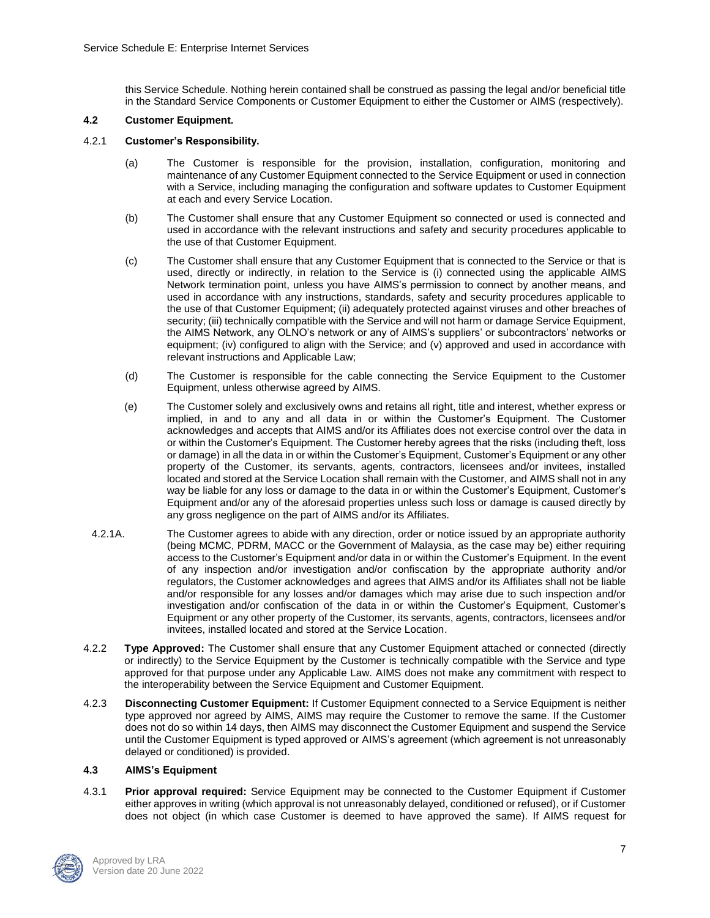this Service Schedule. Nothing herein contained shall be construed as passing the legal and/or beneficial title in the Standard Service Components or Customer Equipment to either the Customer or AIMS (respectively).

#### **4.2 Customer Equipment.**

#### 4.2.1 **Customer's Responsibility.**

- (a) The Customer is responsible for the provision, installation, configuration, monitoring and maintenance of any Customer Equipment connected to the Service Equipment or used in connection with a Service, including managing the configuration and software updates to Customer Equipment at each and every Service Location.
- (b) The Customer shall ensure that any Customer Equipment so connected or used is connected and used in accordance with the relevant instructions and safety and security procedures applicable to the use of that Customer Equipment.
- (c) The Customer shall ensure that any Customer Equipment that is connected to the Service or that is used, directly or indirectly, in relation to the Service is (i) connected using the applicable AIMS Network termination point, unless you have AIMS's permission to connect by another means, and used in accordance with any instructions, standards, safety and security procedures applicable to the use of that Customer Equipment; (ii) adequately protected against viruses and other breaches of security; (iii) technically compatible with the Service and will not harm or damage Service Equipment, the AIMS Network, any OLNO's network or any of AIMS's suppliers' or subcontractors' networks or equipment; (iv) configured to align with the Service; and (v) approved and used in accordance with relevant instructions and Applicable Law;
- (d) The Customer is responsible for the cable connecting the Service Equipment to the Customer Equipment, unless otherwise agreed by AIMS.
- (e) The Customer solely and exclusively owns and retains all right, title and interest, whether express or implied, in and to any and all data in or within the Customer's Equipment. The Customer acknowledges and accepts that AIMS and/or its Affiliates does not exercise control over the data in or within the Customer's Equipment. The Customer hereby agrees that the risks (including theft, loss or damage) in all the data in or within the Customer's Equipment, Customer's Equipment or any other property of the Customer, its servants, agents, contractors, licensees and/or invitees, installed located and stored at the Service Location shall remain with the Customer, and AIMS shall not in any way be liable for any loss or damage to the data in or within the Customer's Equipment, Customer's Equipment and/or any of the aforesaid properties unless such loss or damage is caused directly by any gross negligence on the part of AIMS and/or its Affiliates.
- 4.2.1A. The Customer agrees to abide with any direction, order or notice issued by an appropriate authority (being MCMC, PDRM, MACC or the Government of Malaysia, as the case may be) either requiring access to the Customer's Equipment and/or data in or within the Customer's Equipment. In the event of any inspection and/or investigation and/or confiscation by the appropriate authority and/or regulators, the Customer acknowledges and agrees that AIMS and/or its Affiliates shall not be liable and/or responsible for any losses and/or damages which may arise due to such inspection and/or investigation and/or confiscation of the data in or within the Customer's Equipment, Customer's Equipment or any other property of the Customer, its servants, agents, contractors, licensees and/or invitees, installed located and stored at the Service Location.
- 4.2.2 **Type Approved:** The Customer shall ensure that any Customer Equipment attached or connected (directly or indirectly) to the Service Equipment by the Customer is technically compatible with the Service and type approved for that purpose under any Applicable Law. AIMS does not make any commitment with respect to the interoperability between the Service Equipment and Customer Equipment.
- 4.2.3 **Disconnecting Customer Equipment:** If Customer Equipment connected to a Service Equipment is neither type approved nor agreed by AIMS, AIMS may require the Customer to remove the same. If the Customer does not do so within 14 days, then AIMS may disconnect the Customer Equipment and suspend the Service until the Customer Equipment is typed approved or AIMS's agreement (which agreement is not unreasonably delayed or conditioned) is provided.

#### **4.3 AIMS's Equipment**

4.3.1 **Prior approval required:** Service Equipment may be connected to the Customer Equipment if Customer either approves in writing (which approval is not unreasonably delayed, conditioned or refused), or if Customer does not object (in which case Customer is deemed to have approved the same). If AIMS request for

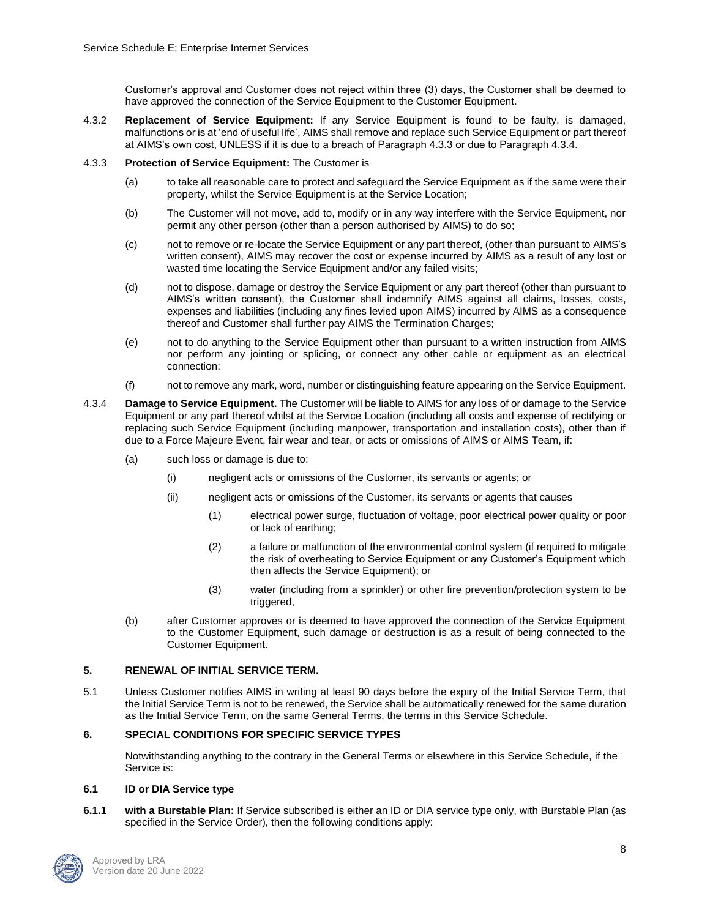Customer's approval and Customer does not reject within three (3) days, the Customer shall be deemed to have approved the connection of the Service Equipment to the Customer Equipment.

4.3.2 **Replacement of Service Equipment:** If any Service Equipment is found to be faulty, is damaged, malfunctions or is at 'end of useful life', AIMS shall remove and replace such Service Equipment or part thereof at AIMS's own cost, UNLESS if it is due to a breach of Paragraph 4.3.3 or due to Paragraph 4.3.4.

### 4.3.3 **Protection of Service Equipment:** The Customer is

- (a) to take all reasonable care to protect and safeguard the Service Equipment as if the same were their property, whilst the Service Equipment is at the Service Location;
- (b) The Customer will not move, add to, modify or in any way interfere with the Service Equipment, nor permit any other person (other than a person authorised by AIMS) to do so;
- (c) not to remove or re-locate the Service Equipment or any part thereof, (other than pursuant to AIMS's written consent), AIMS may recover the cost or expense incurred by AIMS as a result of any lost or wasted time locating the Service Equipment and/or any failed visits;
- (d) not to dispose, damage or destroy the Service Equipment or any part thereof (other than pursuant to AIMS's written consent), the Customer shall indemnify AIMS against all claims, losses, costs, expenses and liabilities (including any fines levied upon AIMS) incurred by AIMS as a consequence thereof and Customer shall further pay AIMS the Termination Charges;
- (e) not to do anything to the Service Equipment other than pursuant to a written instruction from AIMS nor perform any jointing or splicing, or connect any other cable or equipment as an electrical connection;
- (f) not to remove any mark, word, number or distinguishing feature appearing on the Service Equipment.
- 4.3.4 **Damage to Service Equipment.** The Customer will be liable to AIMS for any loss of or damage to the Service Equipment or any part thereof whilst at the Service Location (including all costs and expense of rectifying or replacing such Service Equipment (including manpower, transportation and installation costs), other than if due to a Force Majeure Event, fair wear and tear, or acts or omissions of AIMS or AIMS Team, if:
	- (a) such loss or damage is due to:
		- (i) negligent acts or omissions of the Customer, its servants or agents; or
		- (ii) negligent acts or omissions of the Customer, its servants or agents that causes
			- (1) electrical power surge, fluctuation of voltage, poor electrical power quality or poor or lack of earthing;
			- (2) a failure or malfunction of the environmental control system (if required to mitigate the risk of overheating to Service Equipment or any Customer's Equipment which then affects the Service Equipment); or
			- (3) water (including from a sprinkler) or other fire prevention/protection system to be triggered,
	- (b) after Customer approves or is deemed to have approved the connection of the Service Equipment to the Customer Equipment, such damage or destruction is as a result of being connected to the Customer Equipment.

## **5. RENEWAL OF INITIAL SERVICE TERM.**

5.1 Unless Customer notifies AIMS in writing at least 90 days before the expiry of the Initial Service Term, that the Initial Service Term is not to be renewed, the Service shall be automatically renewed for the same duration as the Initial Service Term, on the same General Terms, the terms in this Service Schedule.

## **6. SPECIAL CONDITIONS FOR SPECIFIC SERVICE TYPES**

Notwithstanding anything to the contrary in the General Terms or elsewhere in this Service Schedule, if the Service is:

### **6.1 ID or DIA Service type**

**6.1.1 with a Burstable Plan:** If Service subscribed is either an ID or DIA service type only, with Burstable Plan (as specified in the Service Order), then the following conditions apply:

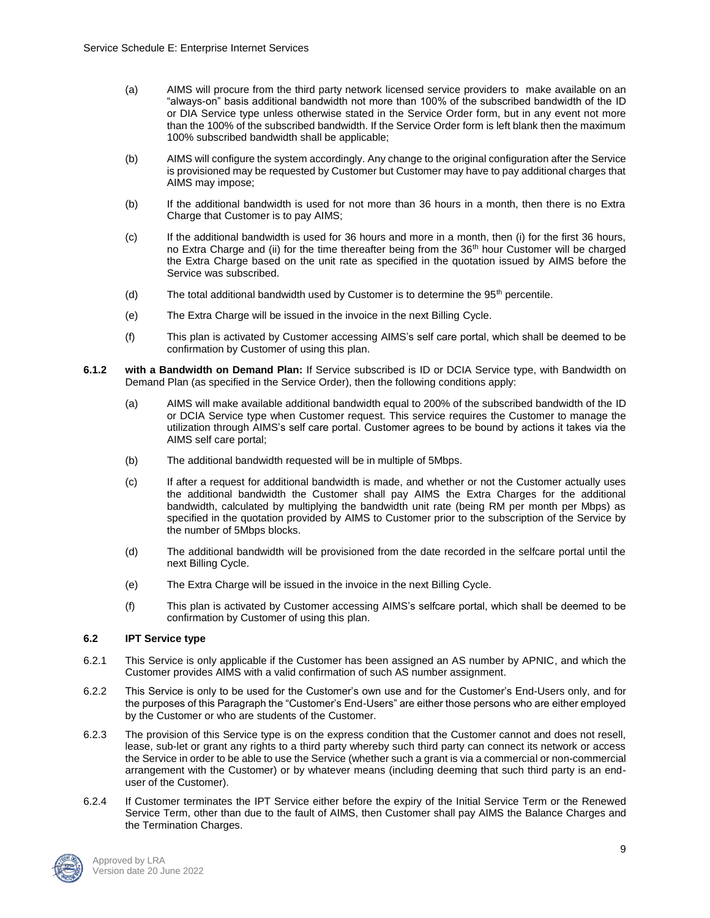- (a) AIMS will procure from the third party network licensed service providers to make available on an "always-on" basis additional bandwidth not more than 100% of the subscribed bandwidth of the ID or DIA Service type unless otherwise stated in the Service Order form, but in any event not more than the 100% of the subscribed bandwidth. If the Service Order form is left blank then the maximum 100% subscribed bandwidth shall be applicable;
- (b) AIMS will configure the system accordingly. Any change to the original configuration after the Service is provisioned may be requested by Customer but Customer may have to pay additional charges that AIMS may impose;
- (b) If the additional bandwidth is used for not more than 36 hours in a month, then there is no Extra Charge that Customer is to pay AIMS;
- (c) If the additional bandwidth is used for 36 hours and more in a month, then (i) for the first 36 hours, no Extra Charge and (ii) for the time thereafter being from the 36<sup>th</sup> hour Customer will be charged the Extra Charge based on the unit rate as specified in the quotation issued by AIMS before the Service was subscribed.
- (d) The total additional bandwidth used by Customer is to determine the  $95<sup>th</sup>$  percentile.
- (e) The Extra Charge will be issued in the invoice in the next Billing Cycle.
- (f) This plan is activated by Customer accessing AIMS's self care portal, which shall be deemed to be confirmation by Customer of using this plan.
- **6.1.2 with a Bandwidth on Demand Plan:** If Service subscribed is ID or DCIA Service type, with Bandwidth on Demand Plan (as specified in the Service Order), then the following conditions apply:
	- (a) AIMS will make available additional bandwidth equal to 200% of the subscribed bandwidth of the ID or DCIA Service type when Customer request. This service requires the Customer to manage the utilization through AIMS's self care portal. Customer agrees to be bound by actions it takes via the AIMS self care portal;
	- (b) The additional bandwidth requested will be in multiple of 5Mbps.
	- (c) If after a request for additional bandwidth is made, and whether or not the Customer actually uses the additional bandwidth the Customer shall pay AIMS the Extra Charges for the additional bandwidth, calculated by multiplying the bandwidth unit rate (being RM per month per Mbps) as specified in the quotation provided by AIMS to Customer prior to the subscription of the Service by the number of 5Mbps blocks.
	- (d) The additional bandwidth will be provisioned from the date recorded in the selfcare portal until the next Billing Cycle.
	- (e) The Extra Charge will be issued in the invoice in the next Billing Cycle.
	- (f) This plan is activated by Customer accessing AIMS's selfcare portal, which shall be deemed to be confirmation by Customer of using this plan.

### **6.2 IPT Service type**

- 6.2.1 This Service is only applicable if the Customer has been assigned an AS number by APNIC, and which the Customer provides AIMS with a valid confirmation of such AS number assignment.
- 6.2.2 This Service is only to be used for the Customer's own use and for the Customer's End-Users only, and for the purposes of this Paragraph the "Customer's End-Users" are either those persons who are either employed by the Customer or who are students of the Customer.
- 6.2.3 The provision of this Service type is on the express condition that the Customer cannot and does not resell, lease, sub-let or grant any rights to a third party whereby such third party can connect its network or access the Service in order to be able to use the Service (whether such a grant is via a commercial or non-commercial arrangement with the Customer) or by whatever means (including deeming that such third party is an enduser of the Customer).
- 6.2.4 If Customer terminates the IPT Service either before the expiry of the Initial Service Term or the Renewed Service Term, other than due to the fault of AIMS, then Customer shall pay AIMS the Balance Charges and the Termination Charges.

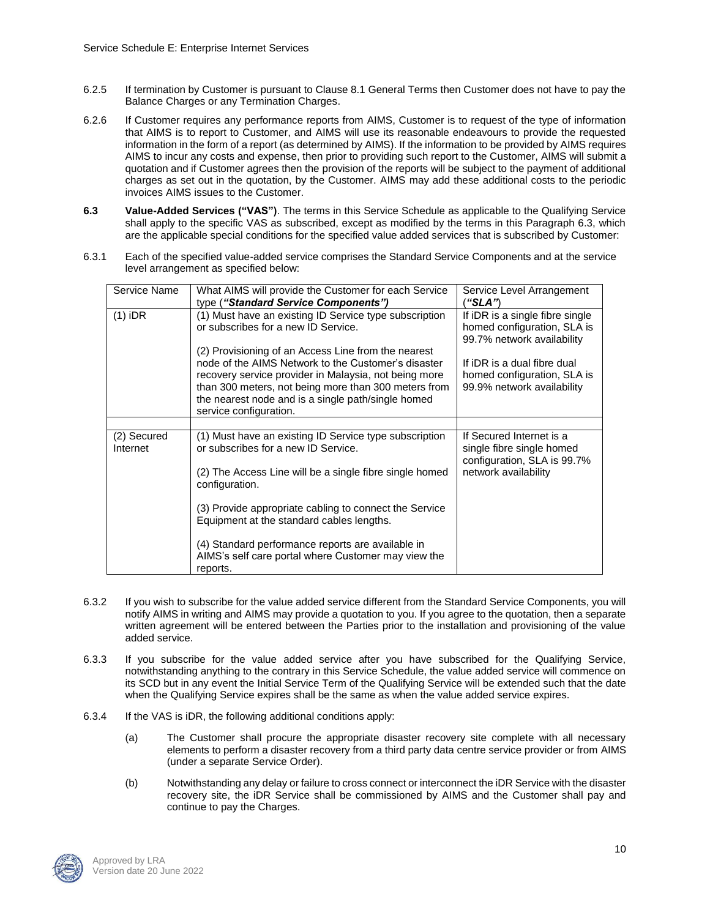- 6.2.5 If termination by Customer is pursuant to Clause 8.1 General Terms then Customer does not have to pay the Balance Charges or any Termination Charges.
- 6.2.6 If Customer requires any performance reports from AIMS, Customer is to request of the type of information that AIMS is to report to Customer, and AIMS will use its reasonable endeavours to provide the requested information in the form of a report (as determined by AIMS). If the information to be provided by AIMS requires AIMS to incur any costs and expense, then prior to providing such report to the Customer, AIMS will submit a quotation and if Customer agrees then the provision of the reports will be subject to the payment of additional charges as set out in the quotation, by the Customer. AIMS may add these additional costs to the periodic invoices AIMS issues to the Customer.
- **6.3 Value-Added Services ("VAS")**. The terms in this Service Schedule as applicable to the Qualifying Service shall apply to the specific VAS as subscribed, except as modified by the terms in this Paragraph 6.3, which are the applicable special conditions for the specified value added services that is subscribed by Customer:
- 6.3.1 Each of the specified value-added service comprises the Standard Service Components and at the service level arrangement as specified below:

| Service Name            | What AIMS will provide the Customer for each Service<br>type ("Standard Service Components")                                                                                                                                                                                                                | Service Level Arrangement<br>"SLA")                                                                          |
|-------------------------|-------------------------------------------------------------------------------------------------------------------------------------------------------------------------------------------------------------------------------------------------------------------------------------------------------------|--------------------------------------------------------------------------------------------------------------|
| $(1)$ iDR               | (1) Must have an existing ID Service type subscription<br>or subscribes for a new ID Service.                                                                                                                                                                                                               | If iDR is a single fibre single<br>homed configuration, SLA is<br>99.7% network availability                 |
|                         | (2) Provisioning of an Access Line from the nearest<br>node of the AIMS Network to the Customer's disaster<br>recovery service provider in Malaysia, not being more<br>than 300 meters, not being more than 300 meters from<br>the nearest node and is a single path/single homed<br>service configuration. | If iDR is a dual fibre dual<br>homed configuration, SLA is<br>99.9% network availability                     |
|                         |                                                                                                                                                                                                                                                                                                             |                                                                                                              |
| (2) Secured<br>Internet | (1) Must have an existing ID Service type subscription<br>or subscribes for a new ID Service.<br>(2) The Access Line will be a single fibre single homed                                                                                                                                                    | If Secured Internet is a<br>single fibre single homed<br>configuration, SLA is 99.7%<br>network availability |
|                         | configuration.                                                                                                                                                                                                                                                                                              |                                                                                                              |
|                         | (3) Provide appropriate cabling to connect the Service<br>Equipment at the standard cables lengths.                                                                                                                                                                                                         |                                                                                                              |
|                         | (4) Standard performance reports are available in<br>AIMS's self care portal where Customer may view the<br>reports.                                                                                                                                                                                        |                                                                                                              |

- 6.3.2 If you wish to subscribe for the value added service different from the Standard Service Components, you will notify AIMS in writing and AIMS may provide a quotation to you. If you agree to the quotation, then a separate written agreement will be entered between the Parties prior to the installation and provisioning of the value added service.
- 6.3.3 If you subscribe for the value added service after you have subscribed for the Qualifying Service, notwithstanding anything to the contrary in this Service Schedule, the value added service will commence on its SCD but in any event the Initial Service Term of the Qualifying Service will be extended such that the date when the Qualifying Service expires shall be the same as when the value added service expires.
- 6.3.4 If the VAS is iDR, the following additional conditions apply:
	- (a) The Customer shall procure the appropriate disaster recovery site complete with all necessary elements to perform a disaster recovery from a third party data centre service provider or from AIMS (under a separate Service Order).
	- (b) Notwithstanding any delay or failure to cross connect or interconnect the iDR Service with the disaster recovery site, the iDR Service shall be commissioned by AIMS and the Customer shall pay and continue to pay the Charges.

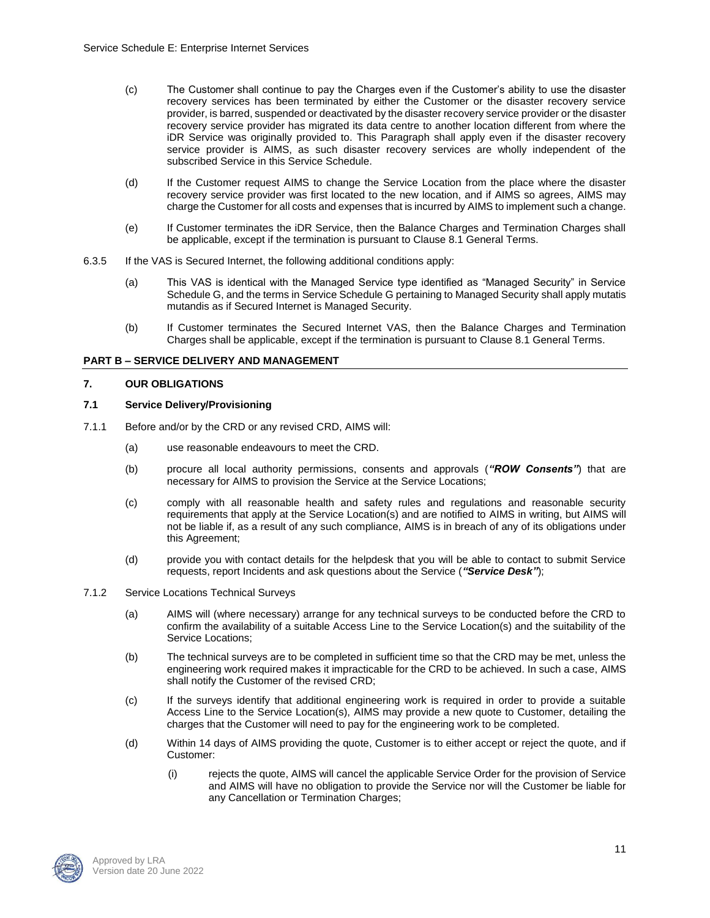- (c) The Customer shall continue to pay the Charges even if the Customer's ability to use the disaster recovery services has been terminated by either the Customer or the disaster recovery service provider, is barred, suspended or deactivated by the disaster recovery service provider or the disaster recovery service provider has migrated its data centre to another location different from where the iDR Service was originally provided to. This Paragraph shall apply even if the disaster recovery service provider is AIMS, as such disaster recovery services are wholly independent of the subscribed Service in this Service Schedule.
- (d) If the Customer request AIMS to change the Service Location from the place where the disaster recovery service provider was first located to the new location, and if AIMS so agrees, AIMS may charge the Customer for all costs and expenses that is incurred by AIMS to implement such a change.
- (e) If Customer terminates the iDR Service, then the Balance Charges and Termination Charges shall be applicable, except if the termination is pursuant to Clause 8.1 General Terms.
- 6.3.5 If the VAS is Secured Internet, the following additional conditions apply:
	- (a) This VAS is identical with the Managed Service type identified as "Managed Security" in Service Schedule G, and the terms in Service Schedule G pertaining to Managed Security shall apply mutatis mutandis as if Secured Internet is Managed Security.
	- (b) If Customer terminates the Secured Internet VAS, then the Balance Charges and Termination Charges shall be applicable, except if the termination is pursuant to Clause 8.1 General Terms.

### **PART B – SERVICE DELIVERY AND MANAGEMENT**

## **7. OUR OBLIGATIONS**

### **7.1 Service Delivery/Provisioning**

- 7.1.1 Before and/or by the CRD or any revised CRD, AIMS will:
	- (a) use reasonable endeavours to meet the CRD.
	- (b) procure all local authority permissions, consents and approvals (*"ROW Consents"*) that are necessary for AIMS to provision the Service at the Service Locations;
	- (c) comply with all reasonable health and safety rules and regulations and reasonable security requirements that apply at the Service Location(s) and are notified to AIMS in writing, but AIMS will not be liable if, as a result of any such compliance, AIMS is in breach of any of its obligations under this Agreement;
	- (d) provide you with contact details for the helpdesk that you will be able to contact to submit Service requests, report Incidents and ask questions about the Service (*"Service Desk"*);
- 7.1.2 Service Locations Technical Surveys
	- (a) AIMS will (where necessary) arrange for any technical surveys to be conducted before the CRD to confirm the availability of a suitable Access Line to the Service Location(s) and the suitability of the Service Locations;
	- (b) The technical surveys are to be completed in sufficient time so that the CRD may be met, unless the engineering work required makes it impracticable for the CRD to be achieved. In such a case, AIMS shall notify the Customer of the revised CRD;
	- (c) If the surveys identify that additional engineering work is required in order to provide a suitable Access Line to the Service Location(s), AIMS may provide a new quote to Customer, detailing the charges that the Customer will need to pay for the engineering work to be completed.
	- (d) Within 14 days of AIMS providing the quote, Customer is to either accept or reject the quote, and if Customer:
		- (i) rejects the quote, AIMS will cancel the applicable Service Order for the provision of Service and AIMS will have no obligation to provide the Service nor will the Customer be liable for any Cancellation or Termination Charges;

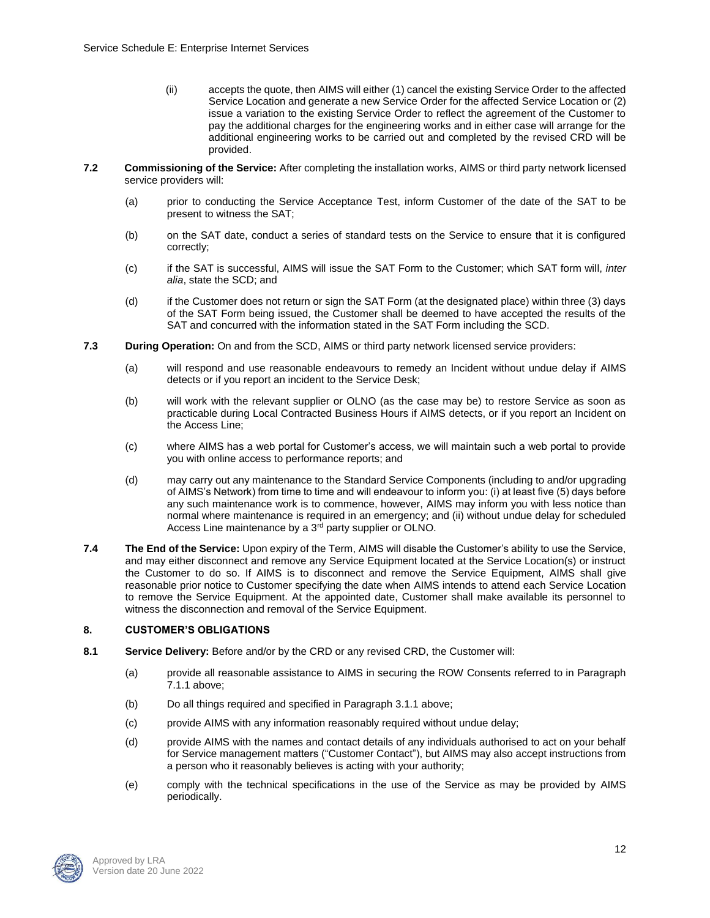- (ii) accepts the quote, then AIMS will either (1) cancel the existing Service Order to the affected Service Location and generate a new Service Order for the affected Service Location or (2) issue a variation to the existing Service Order to reflect the agreement of the Customer to pay the additional charges for the engineering works and in either case will arrange for the additional engineering works to be carried out and completed by the revised CRD will be provided.
- **7.2 Commissioning of the Service:** After completing the installation works, AIMS or third party network licensed service providers will:
	- (a) prior to conducting the Service Acceptance Test, inform Customer of the date of the SAT to be present to witness the SAT;
	- (b) on the SAT date, conduct a series of standard tests on the Service to ensure that it is configured correctly;
	- (c) if the SAT is successful, AIMS will issue the SAT Form to the Customer; which SAT form will, *inter alia*, state the SCD; and
	- (d) if the Customer does not return or sign the SAT Form (at the designated place) within three (3) days of the SAT Form being issued, the Customer shall be deemed to have accepted the results of the SAT and concurred with the information stated in the SAT Form including the SCD.
- **7.3 During Operation:** On and from the SCD, AIMS or third party network licensed service providers:
	- (a) will respond and use reasonable endeavours to remedy an Incident without undue delay if AIMS detects or if you report an incident to the Service Desk;
	- (b) will work with the relevant supplier or OLNO (as the case may be) to restore Service as soon as practicable during Local Contracted Business Hours if AIMS detects, or if you report an Incident on the Access Line;
	- (c) where AIMS has a web portal for Customer's access, we will maintain such a web portal to provide you with online access to performance reports; and
	- (d) may carry out any maintenance to the Standard Service Components (including to and/or upgrading of AIMS's Network) from time to time and will endeavour to inform you: (i) at least five (5) days before any such maintenance work is to commence, however, AIMS may inform you with less notice than normal where maintenance is required in an emergency; and (ii) without undue delay for scheduled Access Line maintenance by a 3<sup>rd</sup> party supplier or OLNO.
- **7.4 The End of the Service:** Upon expiry of the Term, AIMS will disable the Customer's ability to use the Service, and may either disconnect and remove any Service Equipment located at the Service Location(s) or instruct the Customer to do so. If AIMS is to disconnect and remove the Service Equipment, AIMS shall give reasonable prior notice to Customer specifying the date when AIMS intends to attend each Service Location to remove the Service Equipment. At the appointed date, Customer shall make available its personnel to witness the disconnection and removal of the Service Equipment.

### **8. CUSTOMER'S OBLIGATIONS**

- **8.1 Service Delivery:** Before and/or by the CRD or any revised CRD, the Customer will:
	- (a) provide all reasonable assistance to AIMS in securing the ROW Consents referred to in Paragraph 7.1.1 above;
	- (b) Do all things required and specified in Paragraph 3.1.1 above;
	- (c) provide AIMS with any information reasonably required without undue delay;
	- (d) provide AIMS with the names and contact details of any individuals authorised to act on your behalf for Service management matters ("Customer Contact"), but AIMS may also accept instructions from a person who it reasonably believes is acting with your authority;
	- (e) comply with the technical specifications in the use of the Service as may be provided by AIMS periodically.

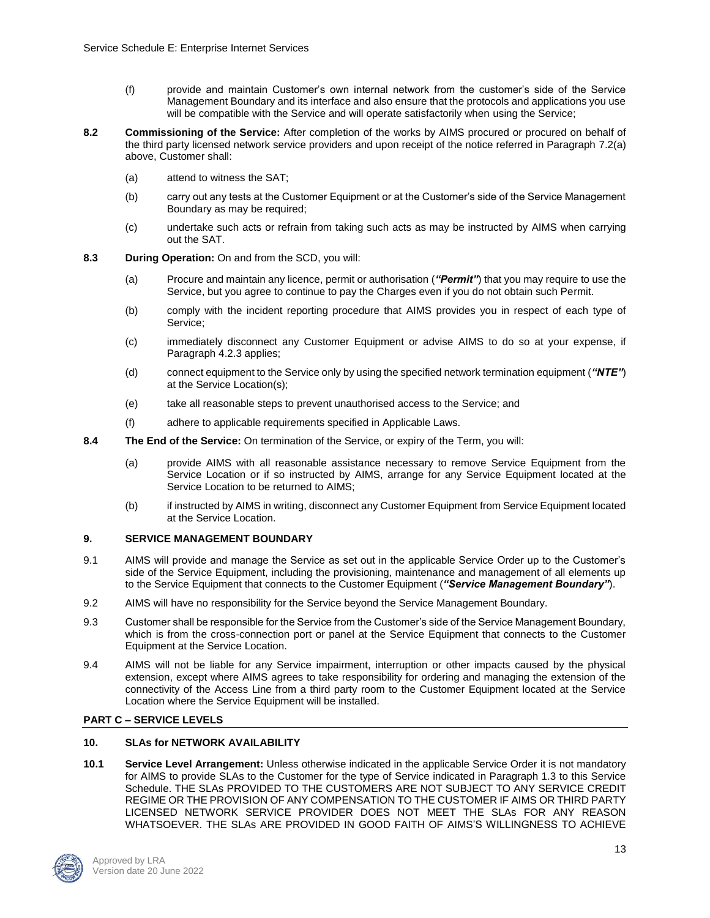- (f) provide and maintain Customer's own internal network from the customer's side of the Service Management Boundary and its interface and also ensure that the protocols and applications you use will be compatible with the Service and will operate satisfactorily when using the Service;
- **8.2 Commissioning of the Service:** After completion of the works by AIMS procured or procured on behalf of the third party licensed network service providers and upon receipt of the notice referred in Paragraph 7.2(a) above, Customer shall:
	- (a) attend to witness the SAT;
	- (b) carry out any tests at the Customer Equipment or at the Customer's side of the Service Management Boundary as may be required;
	- (c) undertake such acts or refrain from taking such acts as may be instructed by AIMS when carrying out the SAT.
- **8.3 During Operation:** On and from the SCD, you will:
	- (a) Procure and maintain any licence, permit or authorisation (*"Permit"*) that you may require to use the Service, but you agree to continue to pay the Charges even if you do not obtain such Permit.
	- (b) comply with the incident reporting procedure that AIMS provides you in respect of each type of Service;
	- (c) immediately disconnect any Customer Equipment or advise AIMS to do so at your expense, if Paragraph 4.2.3 applies;
	- (d) connect equipment to the Service only by using the specified network termination equipment (*"NTE"*) at the Service Location(s);
	- (e) take all reasonable steps to prevent unauthorised access to the Service; and
	- (f) adhere to applicable requirements specified in Applicable Laws.
- **8.4 The End of the Service:** On termination of the Service, or expiry of the Term, you will:
	- (a) provide AIMS with all reasonable assistance necessary to remove Service Equipment from the Service Location or if so instructed by AIMS, arrange for any Service Equipment located at the Service Location to be returned to AIMS;
	- (b) if instructed by AIMS in writing, disconnect any Customer Equipment from Service Equipment located at the Service Location.

### **9. SERVICE MANAGEMENT BOUNDARY**

- 9.1 AIMS will provide and manage the Service as set out in the applicable Service Order up to the Customer's side of the Service Equipment, including the provisioning, maintenance and management of all elements up to the Service Equipment that connects to the Customer Equipment (*"Service Management Boundary"*).
- 9.2 AIMS will have no responsibility for the Service beyond the Service Management Boundary.
- 9.3 Customer shall be responsible for the Service from the Customer's side of the Service Management Boundary, which is from the cross-connection port or panel at the Service Equipment that connects to the Customer Equipment at the Service Location.
- 9.4 AIMS will not be liable for any Service impairment, interruption or other impacts caused by the physical extension, except where AIMS agrees to take responsibility for ordering and managing the extension of the connectivity of the Access Line from a third party room to the Customer Equipment located at the Service Location where the Service Equipment will be installed.

### **PART C – SERVICE LEVELS**

### **10. SLAs for NETWORK AVAILABILITY**

**10.1 Service Level Arrangement:** Unless otherwise indicated in the applicable Service Order it is not mandatory for AIMS to provide SLAs to the Customer for the type of Service indicated in Paragraph 1.3 to this Service Schedule. THE SLAs PROVIDED TO THE CUSTOMERS ARE NOT SUBJECT TO ANY SERVICE CREDIT REGIME OR THE PROVISION OF ANY COMPENSATION TO THE CUSTOMER IF AIMS OR THIRD PARTY LICENSED NETWORK SERVICE PROVIDER DOES NOT MEET THE SLAs FOR ANY REASON WHATSOEVER. THE SLAs ARE PROVIDED IN GOOD FAITH OF AIMS'S WILLINGNESS TO ACHIEVE

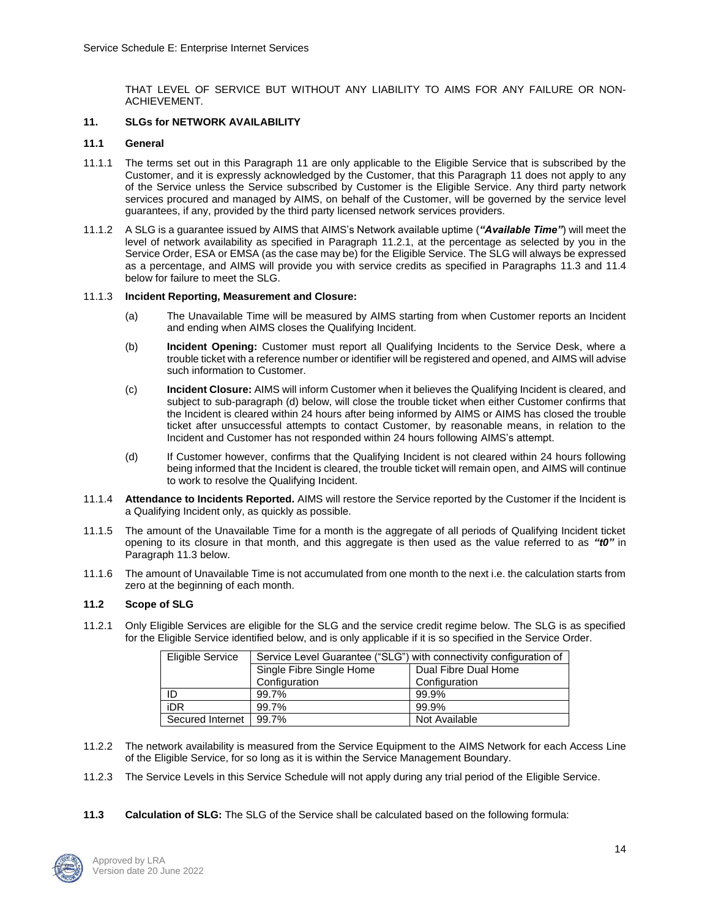THAT LEVEL OF SERVICE BUT WITHOUT ANY LIABILITY TO AIMS FOR ANY FAILURE OR NON-ACHIEVEMENT.

### **11. SLGs for NETWORK AVAILABILITY**

#### **11.1 General**

- 11.1.1 The terms set out in this Paragraph 11 are only applicable to the Eligible Service that is subscribed by the Customer, and it is expressly acknowledged by the Customer, that this Paragraph 11 does not apply to any of the Service unless the Service subscribed by Customer is the Eligible Service. Any third party network services procured and managed by AIMS, on behalf of the Customer, will be governed by the service level guarantees, if any, provided by the third party licensed network services providers.
- 11.1.2 A SLG is a guarantee issued by AIMS that AIMS's Network available uptime (*"Available Time"*) will meet the level of network availability as specified in Paragraph 11.2.1, at the percentage as selected by you in the Service Order, ESA or EMSA (as the case may be) for the Eligible Service. The SLG will always be expressed as a percentage, and AIMS will provide you with service credits as specified in Paragraphs 11.3 and 11.4 below for failure to meet the SLG.

#### 11.1.3 **Incident Reporting, Measurement and Closure:**

- (a) The Unavailable Time will be measured by AIMS starting from when Customer reports an Incident and ending when AIMS closes the Qualifying Incident.
- (b) **Incident Opening:** Customer must report all Qualifying Incidents to the Service Desk, where a trouble ticket with a reference number or identifier will be registered and opened, and AIMS will advise such information to Customer.
- (c) **Incident Closure:** AIMS will inform Customer when it believes the Qualifying Incident is cleared, and subject to sub-paragraph (d) below, will close the trouble ticket when either Customer confirms that the Incident is cleared within 24 hours after being informed by AIMS or AIMS has closed the trouble ticket after unsuccessful attempts to contact Customer, by reasonable means, in relation to the Incident and Customer has not responded within 24 hours following AIMS's attempt.
- (d) If Customer however, confirms that the Qualifying Incident is not cleared within 24 hours following being informed that the Incident is cleared, the trouble ticket will remain open, and AIMS will continue to work to resolve the Qualifying Incident.
- 11.1.4 **Attendance to Incidents Reported.** AIMS will restore the Service reported by the Customer if the Incident is a Qualifying Incident only, as quickly as possible.
- 11.1.5 The amount of the Unavailable Time for a month is the aggregate of all periods of Qualifying Incident ticket opening to its closure in that month, and this aggregate is then used as the value referred to as *"t0"* in Paragraph 11.3 below.
- 11.1.6 The amount of Unavailable Time is not accumulated from one month to the next i.e. the calculation starts from zero at the beginning of each month.

### **11.2 Scope of SLG**

11.2.1 Only Eligible Services are eligible for the SLG and the service credit regime below. The SLG is as specified for the Eligible Service identified below, and is only applicable if it is so specified in the Service Order.

| Eligible Service | Service Level Guarantee ("SLG") with connectivity configuration of |                      |
|------------------|--------------------------------------------------------------------|----------------------|
|                  | Single Fibre Single Home                                           | Dual Fibre Dual Home |
|                  | Configuration                                                      | Configuration        |
| ID               | 99.7%                                                              | 99.9%                |
| iDR              | 99.7%                                                              | 99.9%                |
| Secured Internet | 99.7%                                                              | Not Available        |

- 11.2.2 The network availability is measured from the Service Equipment to the AIMS Network for each Access Line of the Eligible Service, for so long as it is within the Service Management Boundary.
- 11.2.3 The Service Levels in this Service Schedule will not apply during any trial period of the Eligible Service.
- **11.3 Calculation of SLG:** The SLG of the Service shall be calculated based on the following formula:

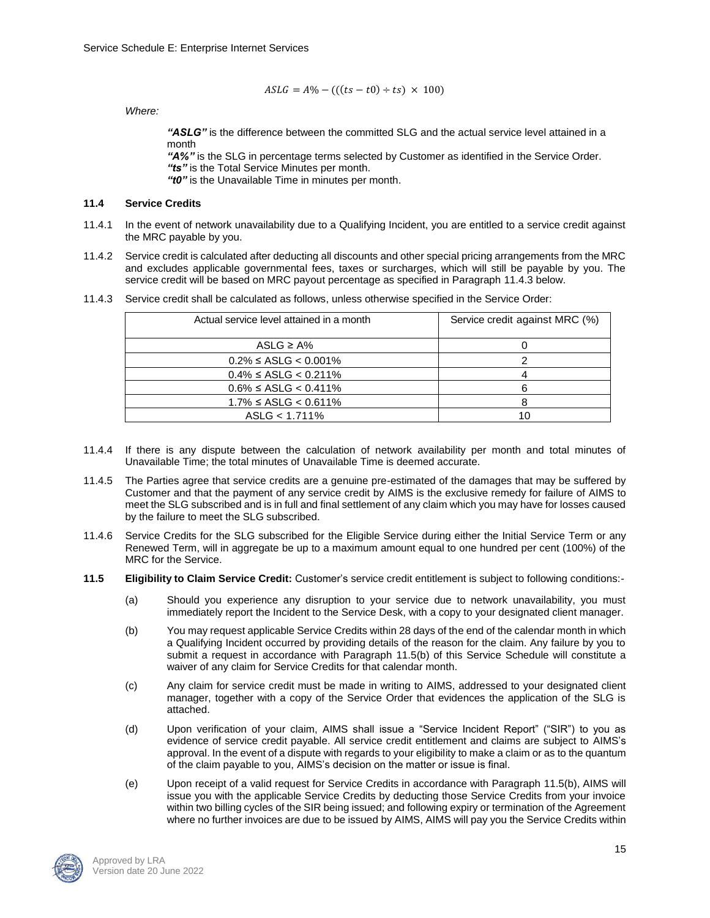$$
ASLG = A\% - (((ts - t0) \div ts) \times 100)
$$

*Where:*

*"ASLG"* is the difference between the committed SLG and the actual service level attained in a month

*"A%"* is the SLG in percentage terms selected by Customer as identified in the Service Order. *"ts"* is the Total Service Minutes per month.

*"t0"* is the Unavailable Time in minutes per month.

### **11.4 Service Credits**

- 11.4.1 In the event of network unavailability due to a Qualifying Incident, you are entitled to a service credit against the MRC payable by you.
- 11.4.2 Service credit is calculated after deducting all discounts and other special pricing arrangements from the MRC and excludes applicable governmental fees, taxes or surcharges, which will still be payable by you. The service credit will be based on MRC payout percentage as specified in Paragraph 11.4.3 below.

| Actual service level attained in a month | Service credit against MRC (%) |
|------------------------------------------|--------------------------------|
| ASLG $\geq$ A%                           |                                |
| $0.2\% \leq$ ASLG < 0.001%               |                                |
| $0.4\% \leq$ ASLG < 0.211%               |                                |
| $0.6\% \leq$ ASLG < 0.411%               |                                |
| $1.7\% \leq$ ASLG < 0.611%               |                                |
| ASLG < 1.711%                            | 10                             |

11.4.3 Service credit shall be calculated as follows, unless otherwise specified in the Service Order:

- 11.4.4 If there is any dispute between the calculation of network availability per month and total minutes of Unavailable Time; the total minutes of Unavailable Time is deemed accurate.
- 11.4.5 The Parties agree that service credits are a genuine pre-estimated of the damages that may be suffered by Customer and that the payment of any service credit by AIMS is the exclusive remedy for failure of AIMS to meet the SLG subscribed and is in full and final settlement of any claim which you may have for losses caused by the failure to meet the SLG subscribed.
- 11.4.6 Service Credits for the SLG subscribed for the Eligible Service during either the Initial Service Term or any Renewed Term, will in aggregate be up to a maximum amount equal to one hundred per cent (100%) of the MRC for the Service.
- **11.5 Eligibility to Claim Service Credit:** Customer's service credit entitlement is subject to following conditions:-
	- (a) Should you experience any disruption to your service due to network unavailability, you must immediately report the Incident to the Service Desk, with a copy to your designated client manager.
	- (b) You may request applicable Service Credits within 28 days of the end of the calendar month in which a Qualifying Incident occurred by providing details of the reason for the claim. Any failure by you to submit a request in accordance with Paragraph 11.5(b) of this Service Schedule will constitute a waiver of any claim for Service Credits for that calendar month.
	- (c) Any claim for service credit must be made in writing to AIMS, addressed to your designated client manager, together with a copy of the Service Order that evidences the application of the SLG is attached.
	- (d) Upon verification of your claim, AIMS shall issue a "Service Incident Report" ("SIR") to you as evidence of service credit payable. All service credit entitlement and claims are subject to AIMS's approval. In the event of a dispute with regards to your eligibility to make a claim or as to the quantum of the claim payable to you, AIMS's decision on the matter or issue is final.
	- (e) Upon receipt of a valid request for Service Credits in accordance with Paragraph 11.5(b), AIMS will issue you with the applicable Service Credits by deducting those Service Credits from your invoice within two billing cycles of the SIR being issued; and following expiry or termination of the Agreement where no further invoices are due to be issued by AIMS, AIMS will pay you the Service Credits within

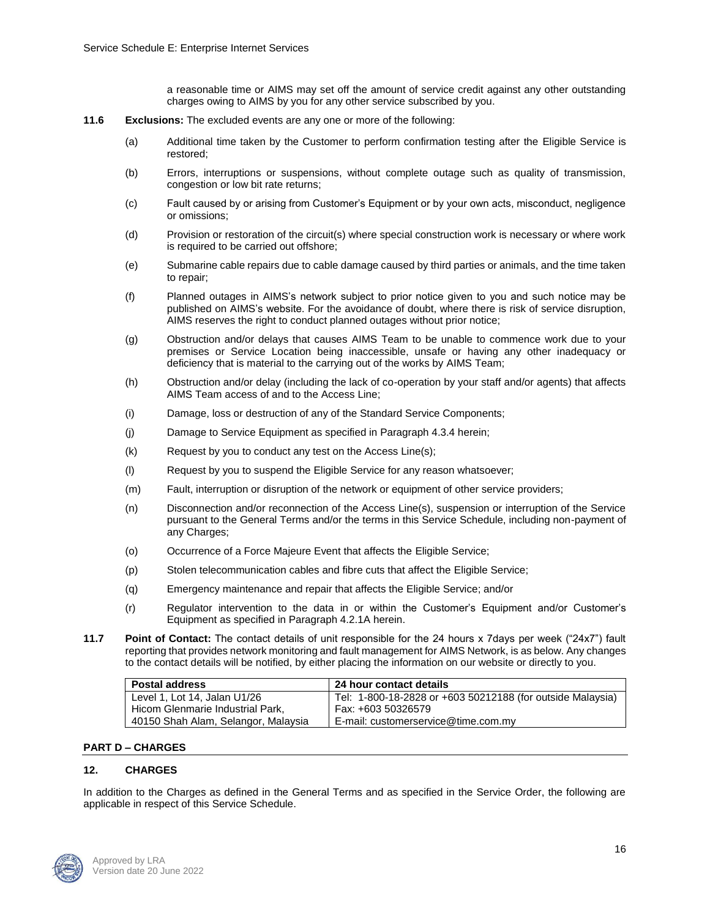a reasonable time or AIMS may set off the amount of service credit against any other outstanding charges owing to AIMS by you for any other service subscribed by you.

- **11.6 Exclusions:** The excluded events are any one or more of the following:
	- (a) Additional time taken by the Customer to perform confirmation testing after the Eligible Service is restored;
	- (b) Errors, interruptions or suspensions, without complete outage such as quality of transmission, congestion or low bit rate returns;
	- (c) Fault caused by or arising from Customer's Equipment or by your own acts, misconduct, negligence or omissions;
	- (d) Provision or restoration of the circuit(s) where special construction work is necessary or where work is required to be carried out offshore;
	- (e) Submarine cable repairs due to cable damage caused by third parties or animals, and the time taken to repair;
	- (f) Planned outages in AIMS's network subject to prior notice given to you and such notice may be published on AIMS's website. For the avoidance of doubt, where there is risk of service disruption, AIMS reserves the right to conduct planned outages without prior notice;
	- (g) Obstruction and/or delays that causes AIMS Team to be unable to commence work due to your premises or Service Location being inaccessible, unsafe or having any other inadequacy or deficiency that is material to the carrying out of the works by AIMS Team;
	- (h) Obstruction and/or delay (including the lack of co-operation by your staff and/or agents) that affects AIMS Team access of and to the Access Line;
	- (i) Damage, loss or destruction of any of the Standard Service Components;
	- (j) Damage to Service Equipment as specified in Paragraph 4.3.4 herein;
	- (k) Request by you to conduct any test on the Access Line(s);
	- (l) Request by you to suspend the Eligible Service for any reason whatsoever;
	- (m) Fault, interruption or disruption of the network or equipment of other service providers;
	- (n) Disconnection and/or reconnection of the Access Line(s), suspension or interruption of the Service pursuant to the General Terms and/or the terms in this Service Schedule, including non-payment of any Charges;
	- (o) Occurrence of a Force Majeure Event that affects the Eligible Service;
	- (p) Stolen telecommunication cables and fibre cuts that affect the Eligible Service;
	- (q) Emergency maintenance and repair that affects the Eligible Service; and/or
	- (r) Regulator intervention to the data in or within the Customer's Equipment and/or Customer's Equipment as specified in Paragraph 4.2.1A herein.
- **11.7 Point of Contact:** The contact details of unit responsible for the 24 hours x 7days per week ("24x7") fault reporting that provides network monitoring and fault management for AIMS Network, is as below. Any changes to the contact details will be notified, by either placing the information on our website or directly to you.

| <b>Postal address</b>               | 24 hour contact details                                    |
|-------------------------------------|------------------------------------------------------------|
| Level 1, Lot 14, Jalan U1/26        | Tel: 1-800-18-2828 or +603 50212188 (for outside Malaysia) |
| Hicom Glenmarie Industrial Park.    | Fax: +603 50326579                                         |
| 40150 Shah Alam, Selangor, Malaysia | E-mail: customerservice@time.com.my                        |

### **PART D – CHARGES**

### **12. CHARGES**

In addition to the Charges as defined in the General Terms and as specified in the Service Order, the following are applicable in respect of this Service Schedule.